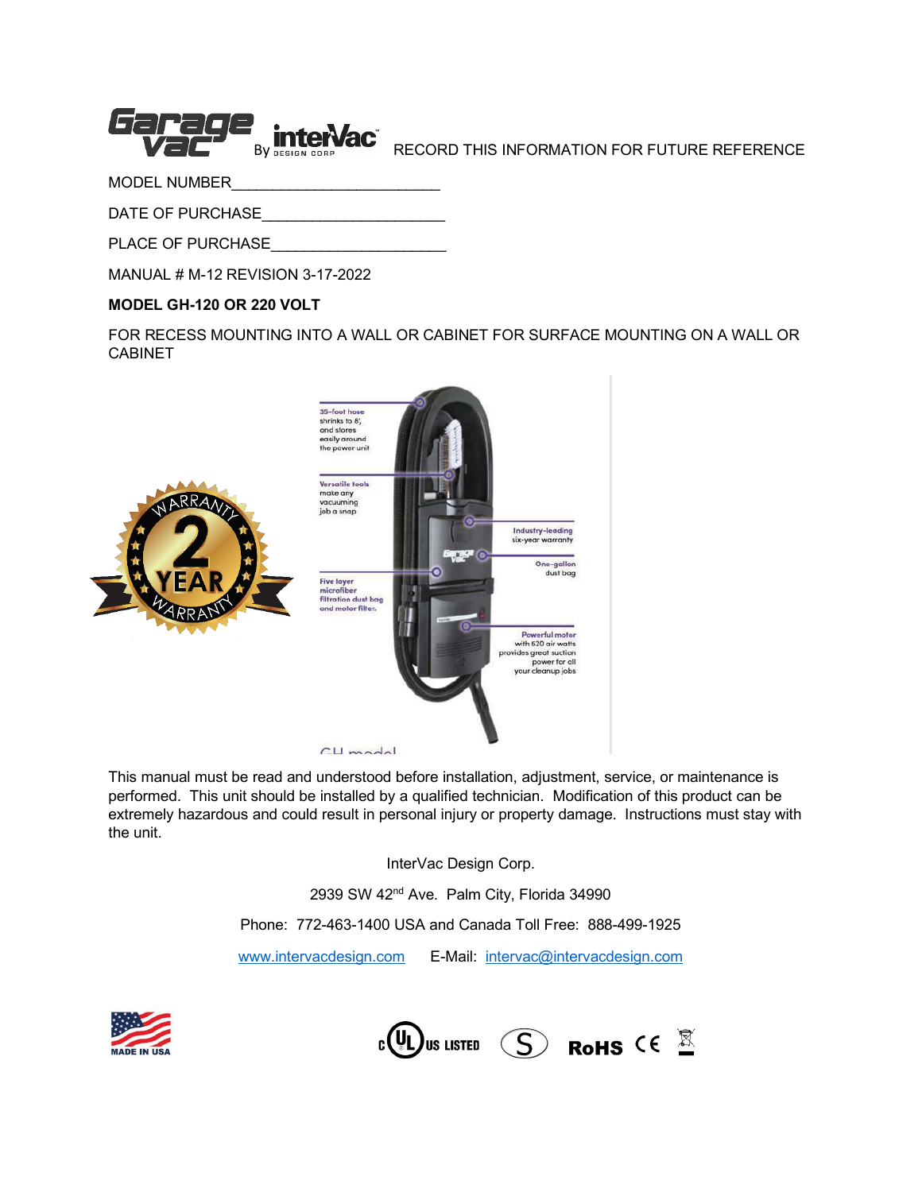

BY DESIGN CONDUCTER THIS INFORMATION FOR FUTURE REFERENCE

MODEL NUMBER

DATE OF PURCHASE

PLACE OF PURCHASE

MANUAL # M-12 REVISION 3-17-2022

#### **MODEL GH-120 OR 220 VOLT**

FOR RECESS MOUNTING INTO A WALL OR CABINET FOR SURFACE MOUNTING ON A WALL OR CABINET



This manual must be read and understood before installation, adjustment, service, or maintenance is performed. This unit should be installed by a qualified technician. Modification of this product can be extremely hazardous and could result in personal injury or property damage. Instructions must stay with the unit.

InterVac Design Corp.

2939 SW 42<sup>nd</sup> Ave. Palm City, Florida 34990

Phone: 772-463-1400 USA and Canada Toll Free: 888-499-1925

[www.intervacdesign.com](http://www.intervacdesign.com/) E-Mail: [intervac@intervacdesign.com](mailto:intervac@intervacdesign.com)



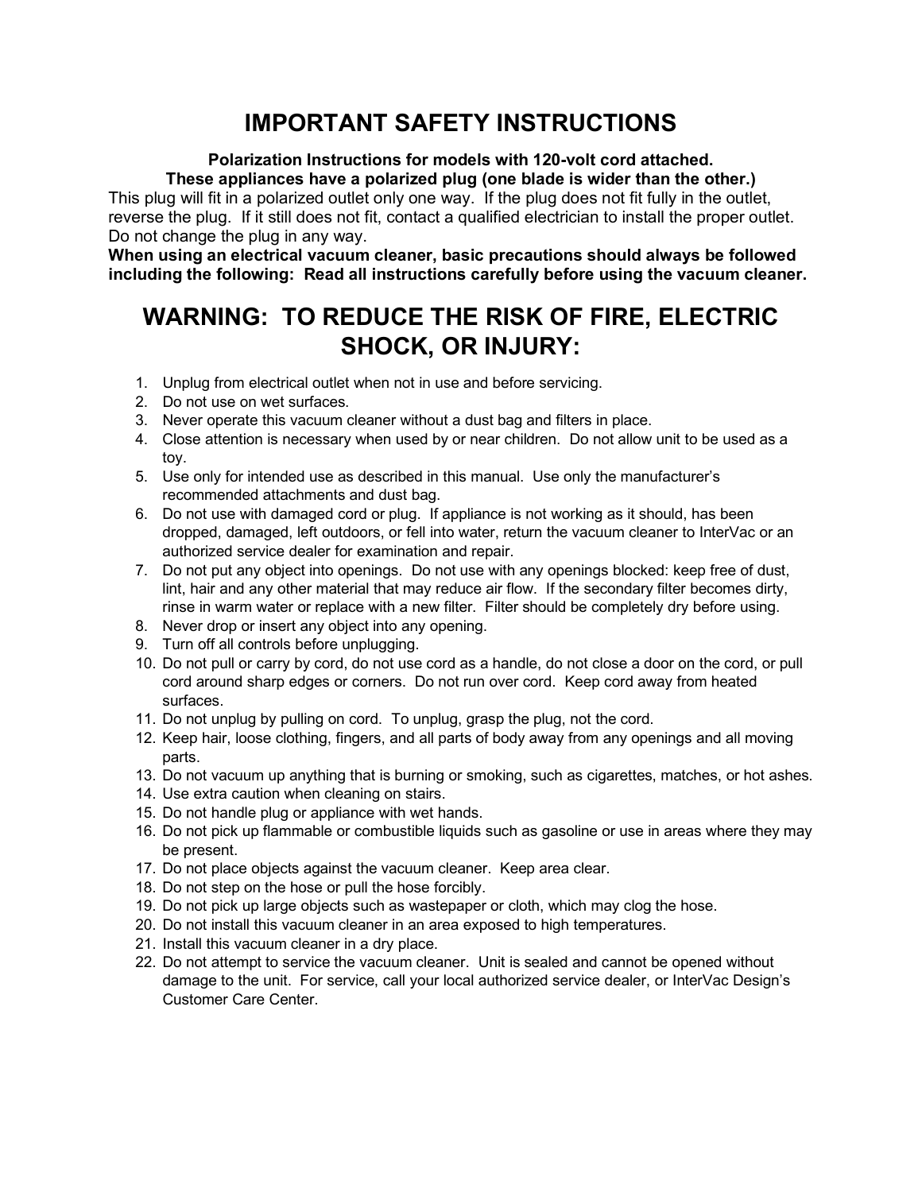# **IMPORTANT SAFETY INSTRUCTIONS**

# **Polarization Instructions for models with 120-volt cord attached.**

**These appliances have a polarized plug (one blade is wider than the other.)** This plug will fit in a polarized outlet only one way. If the plug does not fit fully in the outlet, reverse the plug. If it still does not fit, contact a qualified electrician to install the proper outlet. Do not change the plug in any way.

**When using an electrical vacuum cleaner, basic precautions should always be followed including the following: Read all instructions carefully before using the vacuum cleaner.**

# **WARNING: TO REDUCE THE RISK OF FIRE, ELECTRIC SHOCK, OR INJURY:**

- 1. Unplug from electrical outlet when not in use and before servicing.
- 2. Do not use on wet surfaces.
- 3. Never operate this vacuum cleaner without a dust bag and filters in place.
- 4. Close attention is necessary when used by or near children. Do not allow unit to be used as a toy.
- 5. Use only for intended use as described in this manual. Use only the manufacturer's recommended attachments and dust bag.
- 6. Do not use with damaged cord or plug. If appliance is not working as it should, has been dropped, damaged, left outdoors, or fell into water, return the vacuum cleaner to InterVac or an authorized service dealer for examination and repair.
- 7. Do not put any object into openings. Do not use with any openings blocked: keep free of dust, lint, hair and any other material that may reduce air flow. If the secondary filter becomes dirty, rinse in warm water or replace with a new filter. Filter should be completely dry before using.
- 8. Never drop or insert any object into any opening.
- 9. Turn off all controls before unplugging.
- 10. Do not pull or carry by cord, do not use cord as a handle, do not close a door on the cord, or pull cord around sharp edges or corners. Do not run over cord. Keep cord away from heated surfaces.
- 11. Do not unplug by pulling on cord. To unplug, grasp the plug, not the cord.
- 12. Keep hair, loose clothing, fingers, and all parts of body away from any openings and all moving parts.
- 13. Do not vacuum up anything that is burning or smoking, such as cigarettes, matches, or hot ashes.
- 14. Use extra caution when cleaning on stairs.
- 15. Do not handle plug or appliance with wet hands.
- 16. Do not pick up flammable or combustible liquids such as gasoline or use in areas where they may be present.
- 17. Do not place objects against the vacuum cleaner. Keep area clear.
- 18. Do not step on the hose or pull the hose forcibly.
- 19. Do not pick up large objects such as wastepaper or cloth, which may clog the hose.
- 20. Do not install this vacuum cleaner in an area exposed to high temperatures.
- 21. Install this vacuum cleaner in a dry place.
- 22. Do not attempt to service the vacuum cleaner. Unit is sealed and cannot be opened without damage to the unit. For service, call your local authorized service dealer, or InterVac Design's Customer Care Center.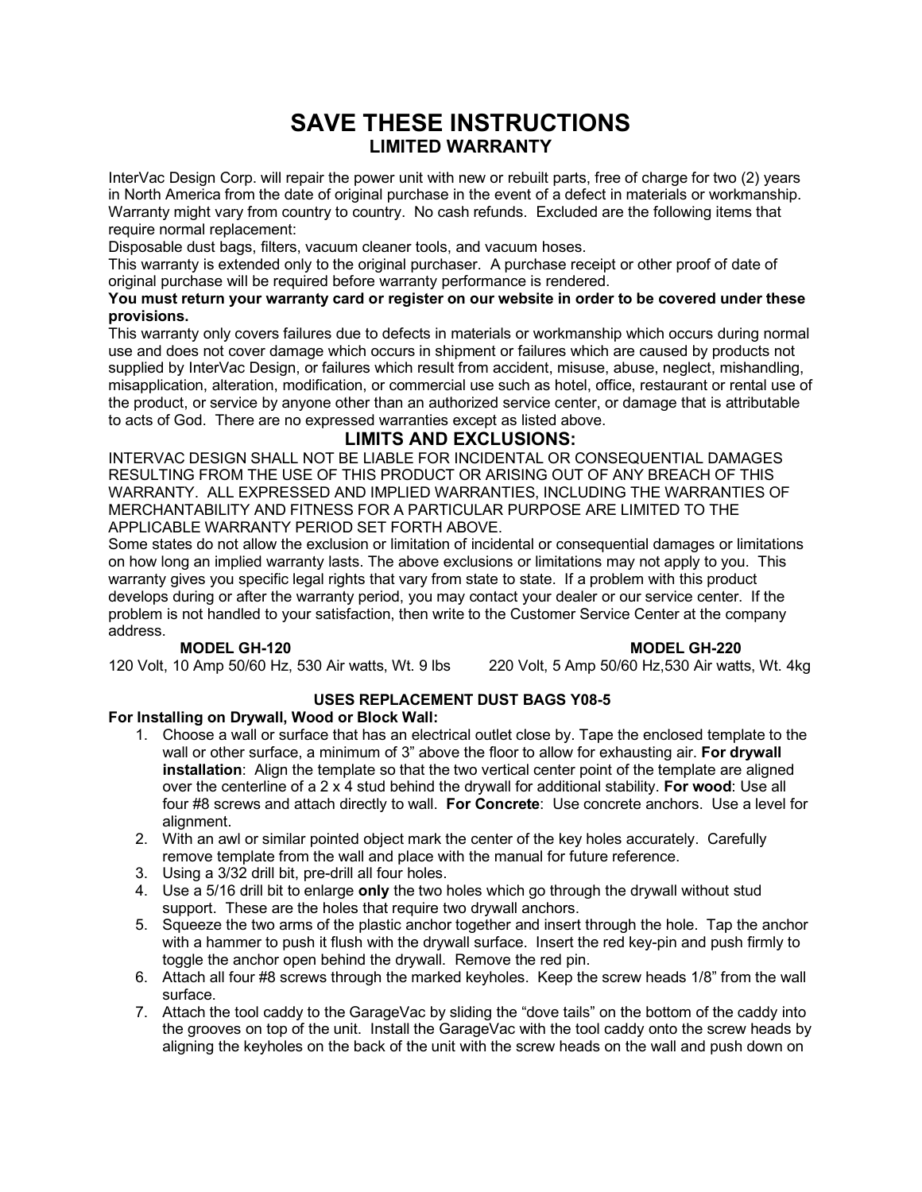# **SAVE THESE INSTRUCTIONS LIMITED WARRANTY**

InterVac Design Corp. will repair the power unit with new or rebuilt parts, free of charge for two (2) years in North America from the date of original purchase in the event of a defect in materials or workmanship. Warranty might vary from country to country. No cash refunds. Excluded are the following items that require normal replacement:

Disposable dust bags, filters, vacuum cleaner tools, and vacuum hoses.

This warranty is extended only to the original purchaser. A purchase receipt or other proof of date of original purchase will be required before warranty performance is rendered.

#### **You must return your warranty card or register on our website in order to be covered under these provisions.**

This warranty only covers failures due to defects in materials or workmanship which occurs during normal use and does not cover damage which occurs in shipment or failures which are caused by products not supplied by InterVac Design, or failures which result from accident, misuse, abuse, neglect, mishandling, misapplication, alteration, modification, or commercial use such as hotel, office, restaurant or rental use of the product, or service by anyone other than an authorized service center, or damage that is attributable to acts of God. There are no expressed warranties except as listed above.

# **LIMITS AND EXCLUSIONS:**

INTERVAC DESIGN SHALL NOT BE LIABLE FOR INCIDENTAL OR CONSEQUENTIAL DAMAGES RESULTING FROM THE USE OF THIS PRODUCT OR ARISING OUT OF ANY BREACH OF THIS WARRANTY. ALL EXPRESSED AND IMPLIED WARRANTIES, INCLUDING THE WARRANTIES OF MERCHANTABILITY AND FITNESS FOR A PARTICULAR PURPOSE ARE LIMITED TO THE APPLICABLE WARRANTY PERIOD SET FORTH ABOVE.

Some states do not allow the exclusion or limitation of incidental or consequential damages or limitations on how long an implied warranty lasts. The above exclusions or limitations may not apply to you. This warranty gives you specific legal rights that vary from state to state. If a problem with this product develops during or after the warranty period, you may contact your dealer or our service center. If the problem is not handled to your satisfaction, then write to the Customer Service Center at the company address.

**MODEL GH-120**<br>0 Amp 50/60 Hz, 530 Air watts, Wt. 9 lbs 220 Volt, 5 Amp 50/60 Hz,530 Air watts, Wt. 4kg 120 Volt, 10 Amp 50/60 Hz, 530 Air watts, Wt. 9 lbs

# **USES REPLACEMENT DUST BAGS Y08-5**

#### **For Installing on Drywall, Wood or Block Wall:**

- 1. Choose a wall or surface that has an electrical outlet close by. Tape the enclosed template to the wall or other surface, a minimum of 3" above the floor to allow for exhausting air. **For drywall installation**: Align the template so that the two vertical center point of the template are aligned over the centerline of a 2 x 4 stud behind the drywall for additional stability. **For wood**: Use all four #8 screws and attach directly to wall. **For Concrete**: Use concrete anchors. Use a level for alignment.
- 2. With an awl or similar pointed object mark the center of the key holes accurately. Carefully remove template from the wall and place with the manual for future reference.
- 3. Using a 3/32 drill bit, pre-drill all four holes.
- 4. Use a 5/16 drill bit to enlarge **only** the two holes which go through the drywall without stud support. These are the holes that require two drywall anchors.
- 5. Squeeze the two arms of the plastic anchor together and insert through the hole. Tap the anchor with a hammer to push it flush with the drywall surface. Insert the red key-pin and push firmly to toggle the anchor open behind the drywall. Remove the red pin.
- 6. Attach all four #8 screws through the marked keyholes. Keep the screw heads 1/8" from the wall surface.
- 7. Attach the tool caddy to the GarageVac by sliding the "dove tails" on the bottom of the caddy into the grooves on top of the unit. Install the GarageVac with the tool caddy onto the screw heads by aligning the keyholes on the back of the unit with the screw heads on the wall and push down on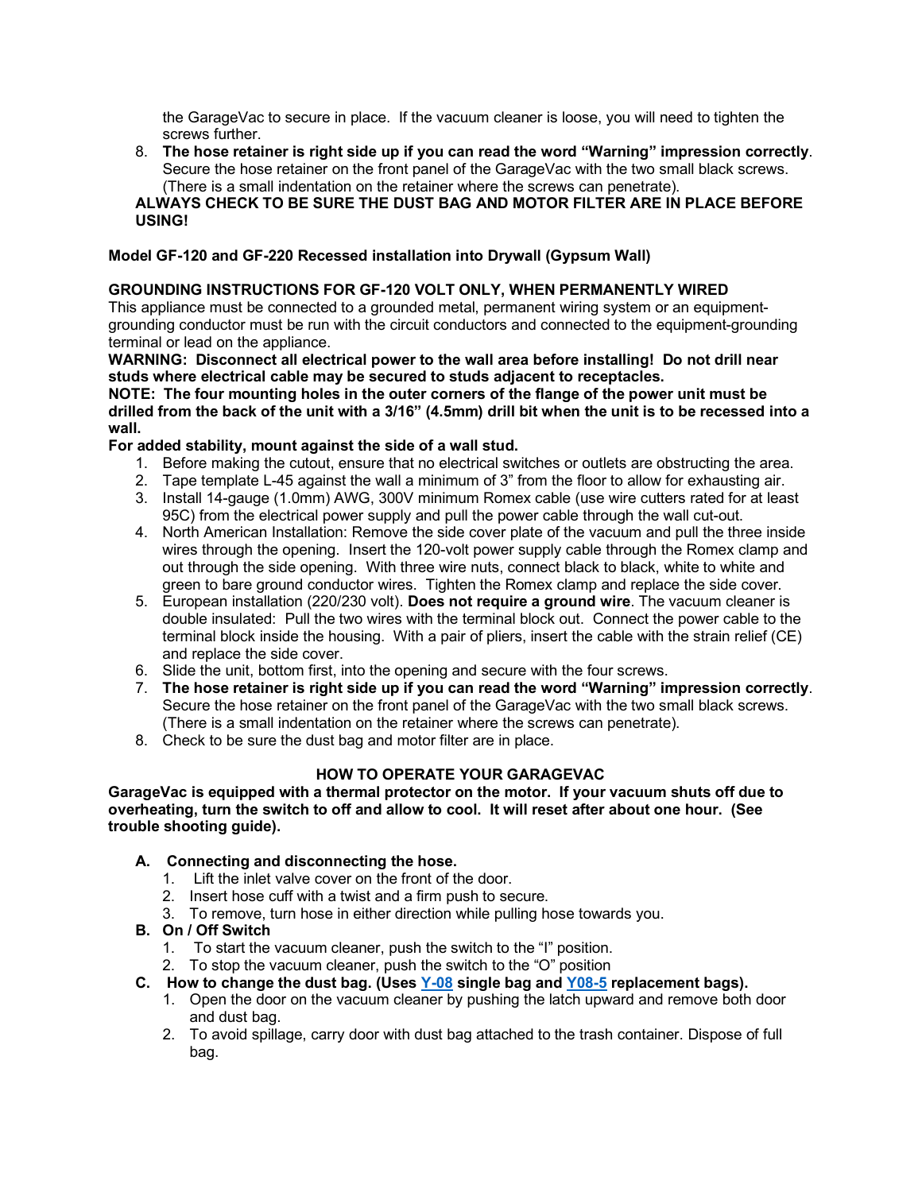the GarageVac to secure in place. If the vacuum cleaner is loose, you will need to tighten the screws further.

8. **The hose retainer is right side up if you can read the word "Warning" impression correctly**. Secure the hose retainer on the front panel of the GarageVac with the two small black screws. (There is a small indentation on the retainer where the screws can penetrate).

#### **ALWAYS CHECK TO BE SURE THE DUST BAG AND MOTOR FILTER ARE IN PLACE BEFORE USING!**

#### **Model GF-120 and GF-220 Recessed installation into Drywall (Gypsum Wall)**

#### **GROUNDING INSTRUCTIONS FOR GF-120 VOLT ONLY, WHEN PERMANENTLY WIRED**

This appliance must be connected to a grounded metal, permanent wiring system or an equipmentgrounding conductor must be run with the circuit conductors and connected to the equipment-grounding terminal or lead on the appliance.

**WARNING: Disconnect all electrical power to the wall area before installing! Do not drill near studs where electrical cable may be secured to studs adjacent to receptacles.**

**NOTE: The four mounting holes in the outer corners of the flange of the power unit must be drilled from the back of the unit with a 3/16" (4.5mm) drill bit when the unit is to be recessed into a wall.**

#### **For added stability, mount against the side of a wall stud.**

- 1. Before making the cutout, ensure that no electrical switches or outlets are obstructing the area.
- 2. Tape template L-45 against the wall a minimum of 3" from the floor to allow for exhausting air.
- 3. Install 14-gauge (1.0mm) AWG, 300V minimum Romex cable (use wire cutters rated for at least 95C) from the electrical power supply and pull the power cable through the wall cut-out.
- 4. North American Installation: Remove the side cover plate of the vacuum and pull the three inside wires through the opening. Insert the 120-volt power supply cable through the Romex clamp and out through the side opening. With three wire nuts, connect black to black, white to white and green to bare ground conductor wires. Tighten the Romex clamp and replace the side cover.
- 5. European installation (220/230 volt). **Does not require a ground wire**. The vacuum cleaner is double insulated: Pull the two wires with the terminal block out. Connect the power cable to the terminal block inside the housing. With a pair of pliers, insert the cable with the strain relief (CE) and replace the side cover.
- 6. Slide the unit, bottom first, into the opening and secure with the four screws.
- 7. **The hose retainer is right side up if you can read the word "Warning" impression correctly**. Secure the hose retainer on the front panel of the GarageVac with the two small black screws. (There is a small indentation on the retainer where the screws can penetrate).
- 8. Check to be sure the dust bag and motor filter are in place.

# **HOW TO OPERATE YOUR GARAGEVAC**

**GarageVac is equipped with a thermal protector on the motor. If your vacuum shuts off due to overheating, turn the switch to off and allow to cool. It will reset after about one hour. (See trouble shooting guide).**

#### **A. Connecting and disconnecting the hose.**

- 1. Lift the inlet valve cover on the front of the door.
- 2. Insert hose cuff with a twist and a firm push to secure.
- 3. To remove, turn hose in either direction while pulling hose towards you.

# **B. On / Off Switch**

- 1. To start the vacuum cleaner, push the switch to the "I" position.
- 2. To stop the vacuum cleaner, push the switch to the "O" position
- **C. How to change the dust bag. (Uses [Y-08](https://www.intervacdesign.com/Bags-Accessories/Replacement-Dust-Bags/Y08-For-Models-HFLHGHGFRMHRMF-CONTAINS-5-BAGS/) single bag and [Y08-5](https://www.intervacdesign.com/Bags-Accessories/Replacement-Dust-Bags/Y08-For-Models-HFLHGHGFRMHRMF-CONTAINS-5-BAGS/) replacement bags).**
	- 1. Open the door on the vacuum cleaner by pushing the latch upward and remove both door and dust bag.
	- 2. To avoid spillage, carry door with dust bag attached to the trash container. Dispose of full bag.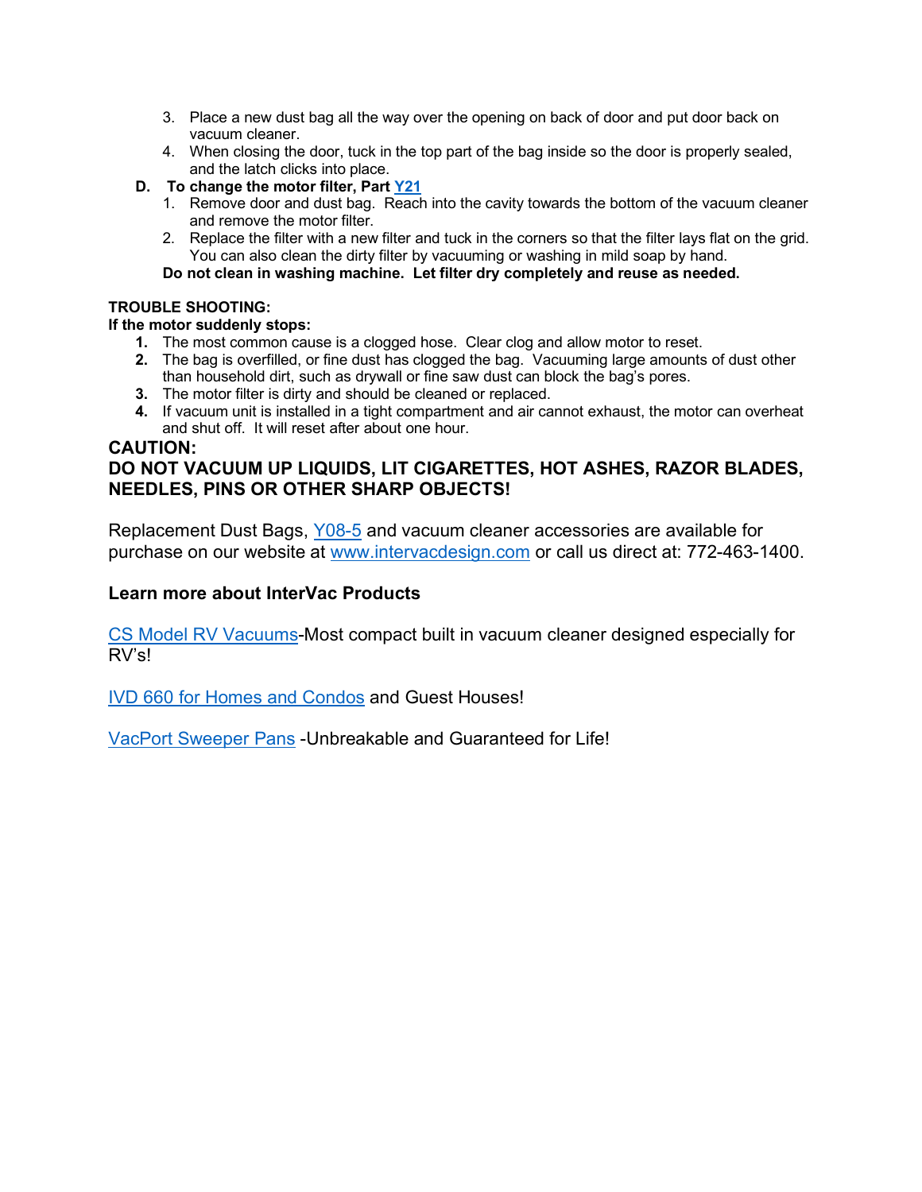- 3. Place a new dust bag all the way over the opening on back of door and put door back on vacuum cleaner.
- 4. When closing the door, tuck in the top part of the bag inside so the door is properly sealed, and the latch clicks into place.
- **D. To change the motor filter, Part [Y21](https://www.intervacdesign.com/Bags-Accessories/Replacement-Dust-Bags/Y08-For-Models-HFLHGHGFRMHRMF-CONTAINS-5-BAGS/)**
	- 1. Remove door and dust bag. Reach into the cavity towards the bottom of the vacuum cleaner and remove the motor filter.
	- 2. Replace the filter with a new filter and tuck in the corners so that the filter lays flat on the grid. You can also clean the dirty filter by vacuuming or washing in mild soap by hand.

**Do not clean in washing machine. Let filter dry completely and reuse as needed.**

### **TROUBLE SHOOTING:**

### **If the motor suddenly stops:**

- **1.** The most common cause is a clogged hose. Clear clog and allow motor to reset.
- **2.** The bag is overfilled, or fine dust has clogged the bag. Vacuuming large amounts of dust other than household dirt, such as drywall or fine saw dust can block the bag's pores.
- **3.** The motor filter is dirty and should be cleaned or replaced.
- **4.** If vacuum unit is installed in a tight compartment and air cannot exhaust, the motor can overheat and shut off. It will reset after about one hour.

# **CAUTION:**

# **DO NOT VACUUM UP LIQUIDS, LIT CIGARETTES, HOT ASHES, RAZOR BLADES, NEEDLES, PINS OR OTHER SHARP OBJECTS!**

Replacement Dust Bags, [Y08-5](https://www.intervacdesign.com/Bags-Accessories/Replacement-Dust-Bags/Y08-For-Models-HFLHGHGFRMHRMF-CONTAINS-5-BAGS/) and vacuum cleaner accessories are available for purchase on our website at [www.intervacdesign.com](http://www.intervacdesign.com/) or call us direct at: 772-463-1400.

# **Learn more about InterVac Products**

[CS Model RV Vacuums-](https://www.intervacdesign.com/Vacuums/RV/)Most compact built in vacuum cleaner designed especially for RV's!

[IVD 660 for Homes and Condos](https://www.intervacdesign.com/Vacuums/For-the-Home/) and Guest Houses!

[VacPort Sweeper Pans](https://www.intervacdesign.com/Bags-Accessories/Vacport-Sweeper-Pan/) -Unbreakable and Guaranteed for Life!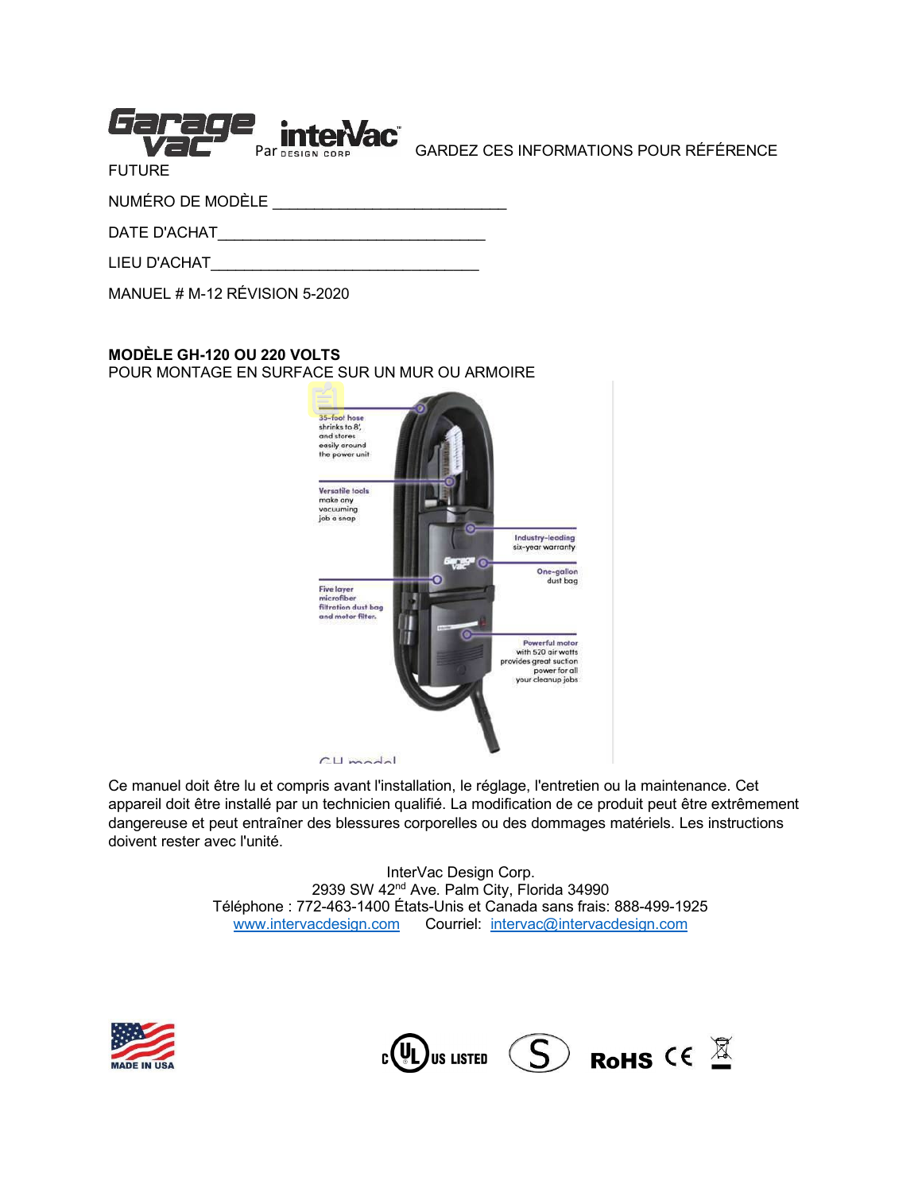| Par DESIGN CORP |  |
|-----------------|--|
| <b>FUTURE</b>   |  |
| $\mathbf{u}$    |  |

GARDEZ CES INFORMATIONS POUR RÉFÉRENCE

NUMÉRO DE MODÈLE \_\_\_\_\_\_\_\_\_\_\_\_\_\_\_\_\_\_\_\_\_\_\_\_\_\_\_\_

DATE D'ACHAT\_\_\_\_\_\_\_\_\_\_\_\_\_\_\_\_\_\_\_\_\_\_\_\_\_\_\_\_\_\_\_\_

LIEU D'ACHAT

MANUEL # M-12 RÉVISION 5-2020

### **MODÈLE GH-120 OU 220 VOLTS**

POUR MONTAGE EN SURFACE SUR UN MUR OU ARMOIRE



Ce manuel doit être lu et compris avant l'installation, le réglage, l'entretien ou la maintenance. Cet appareil doit être installé par un technicien qualifié. La modification de ce produit peut être extrêmement dangereuse et peut entraîner des blessures corporelles ou des dommages matériels. Les instructions doivent rester avec l'unité.

> InterVac Design Corp. 2939 SW 42 $n<sup>d</sup>$  Ave. Palm City, Florida 34990 Téléphone : 772-463-1400 États-Unis et Canada sans frais: 888-499-1925 [www.intervacdesign.com](http://www.intervacdesign.com/) Courriel: [intervac@intervacdesign.com](mailto:intervac@intervacdesign.com)



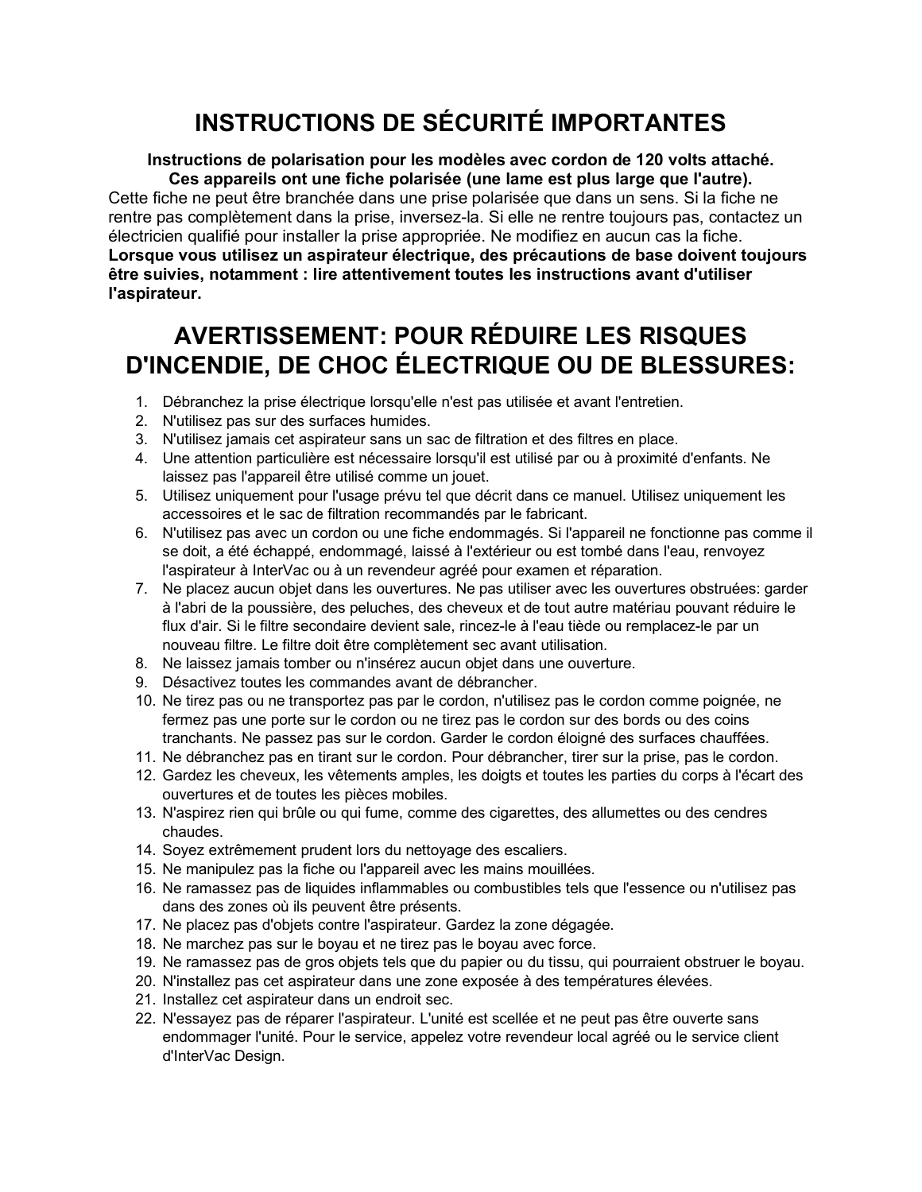# **INSTRUCTIONS DE SÉCURITÉ IMPORTANTES**

#### **Instructions de polarisation pour les modèles avec cordon de 120 volts attaché. Ces appareils ont une fiche polarisée (une lame est plus large que l'autre).**

Cette fiche ne peut être branchée dans une prise polarisée que dans un sens. Si la fiche ne rentre pas complètement dans la prise, inversez-la. Si elle ne rentre toujours pas, contactez un électricien qualifié pour installer la prise appropriée. Ne modifiez en aucun cas la fiche. **Lorsque vous utilisez un aspirateur électrique, des précautions de base doivent toujours être suivies, notamment : lire attentivement toutes les instructions avant d'utiliser l'aspirateur.**

# **AVERTISSEMENT: POUR RÉDUIRE LES RISQUES D'INCENDIE, DE CHOC ÉLECTRIQUE OU DE BLESSURES:**

- 1. Débranchez la prise électrique lorsqu'elle n'est pas utilisée et avant l'entretien.
- 2. N'utilisez pas sur des surfaces humides.
- 3. N'utilisez jamais cet aspirateur sans un sac de filtration et des filtres en place.
- 4. Une attention particulière est nécessaire lorsqu'il est utilisé par ou à proximité d'enfants. Ne laissez pas l'appareil être utilisé comme un jouet.
- 5. Utilisez uniquement pour l'usage prévu tel que décrit dans ce manuel. Utilisez uniquement les accessoires et le sac de filtration recommandés par le fabricant.
- 6. N'utilisez pas avec un cordon ou une fiche endommagés. Si l'appareil ne fonctionne pas comme il se doit, a été échappé, endommagé, laissé à l'extérieur ou est tombé dans l'eau, renvoyez l'aspirateur à InterVac ou à un revendeur agréé pour examen et réparation.
- 7. Ne placez aucun objet dans les ouvertures. Ne pas utiliser avec les ouvertures obstruées: garder à l'abri de la poussière, des peluches, des cheveux et de tout autre matériau pouvant réduire le flux d'air. Si le filtre secondaire devient sale, rincez-le à l'eau tiède ou remplacez-le par un nouveau filtre. Le filtre doit être complètement sec avant utilisation.
- 8. Ne laissez jamais tomber ou n'insérez aucun objet dans une ouverture.
- 9. Désactivez toutes les commandes avant de débrancher.
- 10. Ne tirez pas ou ne transportez pas par le cordon, n'utilisez pas le cordon comme poignée, ne fermez pas une porte sur le cordon ou ne tirez pas le cordon sur des bords ou des coins tranchants. Ne passez pas sur le cordon. Garder le cordon éloigné des surfaces chauffées.
- 11. Ne débranchez pas en tirant sur le cordon. Pour débrancher, tirer sur la prise, pas le cordon.
- 12. Gardez les cheveux, les vêtements amples, les doigts et toutes les parties du corps à l'écart des ouvertures et de toutes les pièces mobiles.
- 13. N'aspirez rien qui brûle ou qui fume, comme des cigarettes, des allumettes ou des cendres chaudes.
- 14. Soyez extrêmement prudent lors du nettoyage des escaliers.
- 15. Ne manipulez pas la fiche ou l'appareil avec les mains mouillées.
- 16. Ne ramassez pas de liquides inflammables ou combustibles tels que l'essence ou n'utilisez pas dans des zones où ils peuvent être présents.
- 17. Ne placez pas d'objets contre l'aspirateur. Gardez la zone dégagée.
- 18. Ne marchez pas sur le boyau et ne tirez pas le boyau avec force.
- 19. Ne ramassez pas de gros objets tels que du papier ou du tissu, qui pourraient obstruer le boyau.
- 20. N'installez pas cet aspirateur dans une zone exposée à des températures élevées.
- 21. Installez cet aspirateur dans un endroit sec.
- 22. N'essayez pas de réparer l'aspirateur. L'unité est scellée et ne peut pas être ouverte sans endommager l'unité. Pour le service, appelez votre revendeur local agréé ou le service client d'InterVac Design.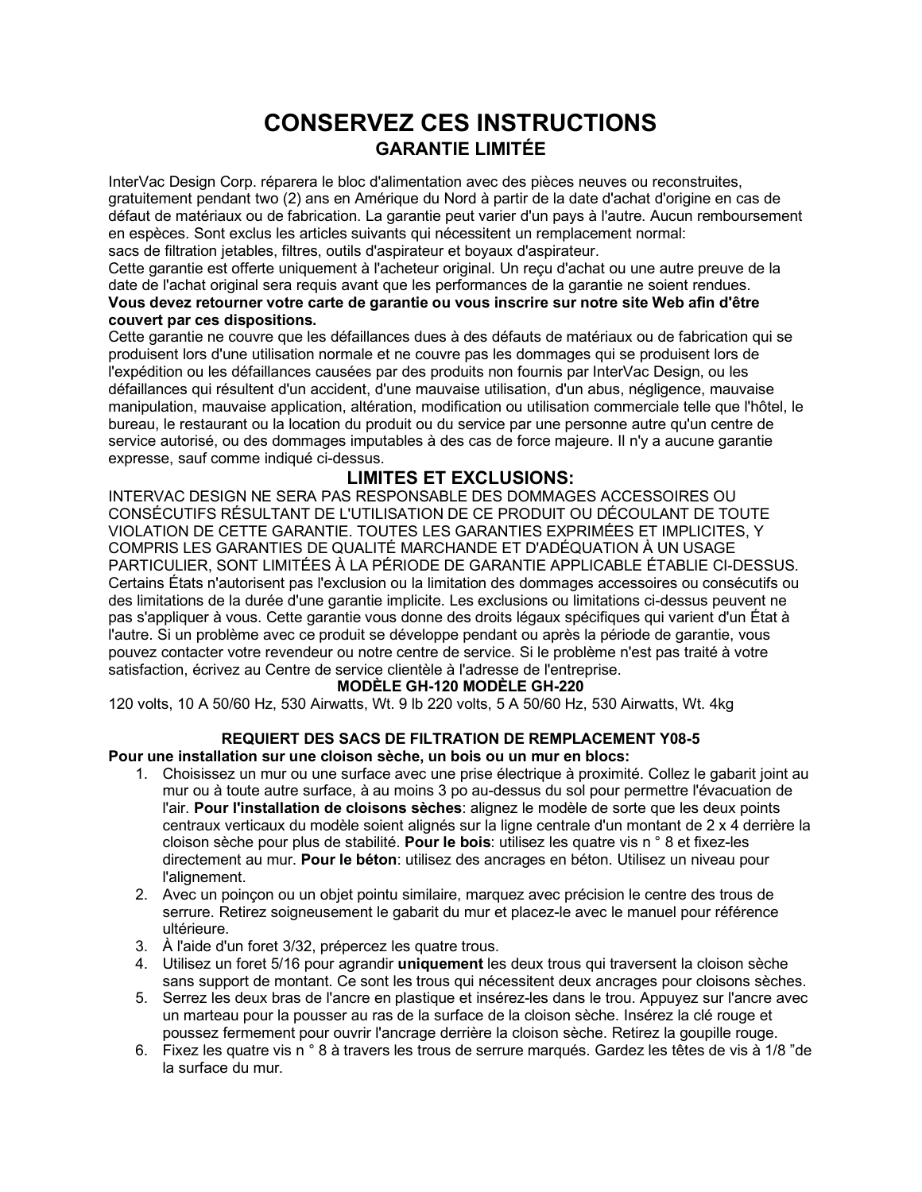# **CONSERVEZ CES INSTRUCTIONS GARANTIE LIMITÉE**

InterVac Design Corp. réparera le bloc d'alimentation avec des pièces neuves ou reconstruites, gratuitement pendant two (2) ans en Amérique du Nord à partir de la date d'achat d'origine en cas de défaut de matériaux ou de fabrication. La garantie peut varier d'un pays à l'autre. Aucun remboursement en espèces. Sont exclus les articles suivants qui nécessitent un remplacement normal: sacs de filtration jetables, filtres, outils d'aspirateur et boyaux d'aspirateur.

Cette garantie est offerte uniquement à l'acheteur original. Un reçu d'achat ou une autre preuve de la date de l'achat original sera requis avant que les performances de la garantie ne soient rendues. **Vous devez retourner votre carte de garantie ou vous inscrire sur notre site Web afin d'être couvert par ces dispositions.** 

Cette garantie ne couvre que les défaillances dues à des défauts de matériaux ou de fabrication qui se produisent lors d'une utilisation normale et ne couvre pas les dommages qui se produisent lors de l'expédition ou les défaillances causées par des produits non fournis par InterVac Design, ou les défaillances qui résultent d'un accident, d'une mauvaise utilisation, d'un abus, négligence, mauvaise manipulation, mauvaise application, altération, modification ou utilisation commerciale telle que l'hôtel, le bureau, le restaurant ou la location du produit ou du service par une personne autre qu'un centre de service autorisé, ou des dommages imputables à des cas de force majeure. Il n'y a aucune garantie expresse, sauf comme indiqué ci-dessus.

# **LIMITES ET EXCLUSIONS:**

INTERVAC DESIGN NE SERA PAS RESPONSABLE DES DOMMAGES ACCESSOIRES OU CONSÉCUTIFS RÉSULTANT DE L'UTILISATION DE CE PRODUIT OU DÉCOULANT DE TOUTE VIOLATION DE CETTE GARANTIE. TOUTES LES GARANTIES EXPRIMÉES ET IMPLICITES, Y COMPRIS LES GARANTIES DE QUALITÉ MARCHANDE ET D'ADÉQUATION À UN USAGE PARTICULIER, SONT LIMITÉES À LA PÉRIODE DE GARANTIE APPLICABLE ÉTABLIE CI-DESSUS. Certains États n'autorisent pas l'exclusion ou la limitation des dommages accessoires ou consécutifs ou des limitations de la durée d'une garantie implicite. Les exclusions ou limitations ci-dessus peuvent ne pas s'appliquer à vous. Cette garantie vous donne des droits légaux spécifiques qui varient d'un État à l'autre. Si un problème avec ce produit se développe pendant ou après la période de garantie, vous pouvez contacter votre revendeur ou notre centre de service. Si le problème n'est pas traité à votre satisfaction, écrivez au Centre de service clientèle à l'adresse de l'entreprise.

#### **MODÈLE GH-120 MODÈLE GH-220**

120 volts, 10 A 50/60 Hz, 530 Airwatts, Wt. 9 lb 220 volts, 5 A 50/60 Hz, 530 Airwatts, Wt. 4kg

# **REQUIERT DES SACS DE FILTRATION DE REMPLACEMENT Y08-5**

#### **Pour une installation sur une cloison sèche, un bois ou un mur en blocs:**

- 1. Choisissez un mur ou une surface avec une prise électrique à proximité. Collez le gabarit joint au mur ou à toute autre surface, à au moins 3 po au-dessus du sol pour permettre l'évacuation de l'air. **Pour l'installation de cloisons sèches**: alignez le modèle de sorte que les deux points centraux verticaux du modèle soient alignés sur la ligne centrale d'un montant de 2 x 4 derrière la cloison sèche pour plus de stabilité. **Pour le bois**: utilisez les quatre vis n ° 8 et fixez-les directement au mur. **Pour le béton**: utilisez des ancrages en béton. Utilisez un niveau pour l'alignement.
- 2. Avec un poinçon ou un objet pointu similaire, marquez avec précision le centre des trous de serrure. Retirez soigneusement le gabarit du mur et placez-le avec le manuel pour référence ultérieure.
- 3. À l'aide d'un foret 3/32, prépercez les quatre trous.
- 4. Utilisez un foret 5/16 pour agrandir **uniquement** les deux trous qui traversent la cloison sèche sans support de montant. Ce sont les trous qui nécessitent deux ancrages pour cloisons sèches.
- 5. Serrez les deux bras de l'ancre en plastique et insérez-les dans le trou. Appuyez sur l'ancre avec un marteau pour la pousser au ras de la surface de la cloison sèche. Insérez la clé rouge et poussez fermement pour ouvrir l'ancrage derrière la cloison sèche. Retirez la goupille rouge.
- 6. Fixez les quatre vis n ° 8 à travers les trous de serrure marqués. Gardez les têtes de vis à 1/8 "de la surface du mur.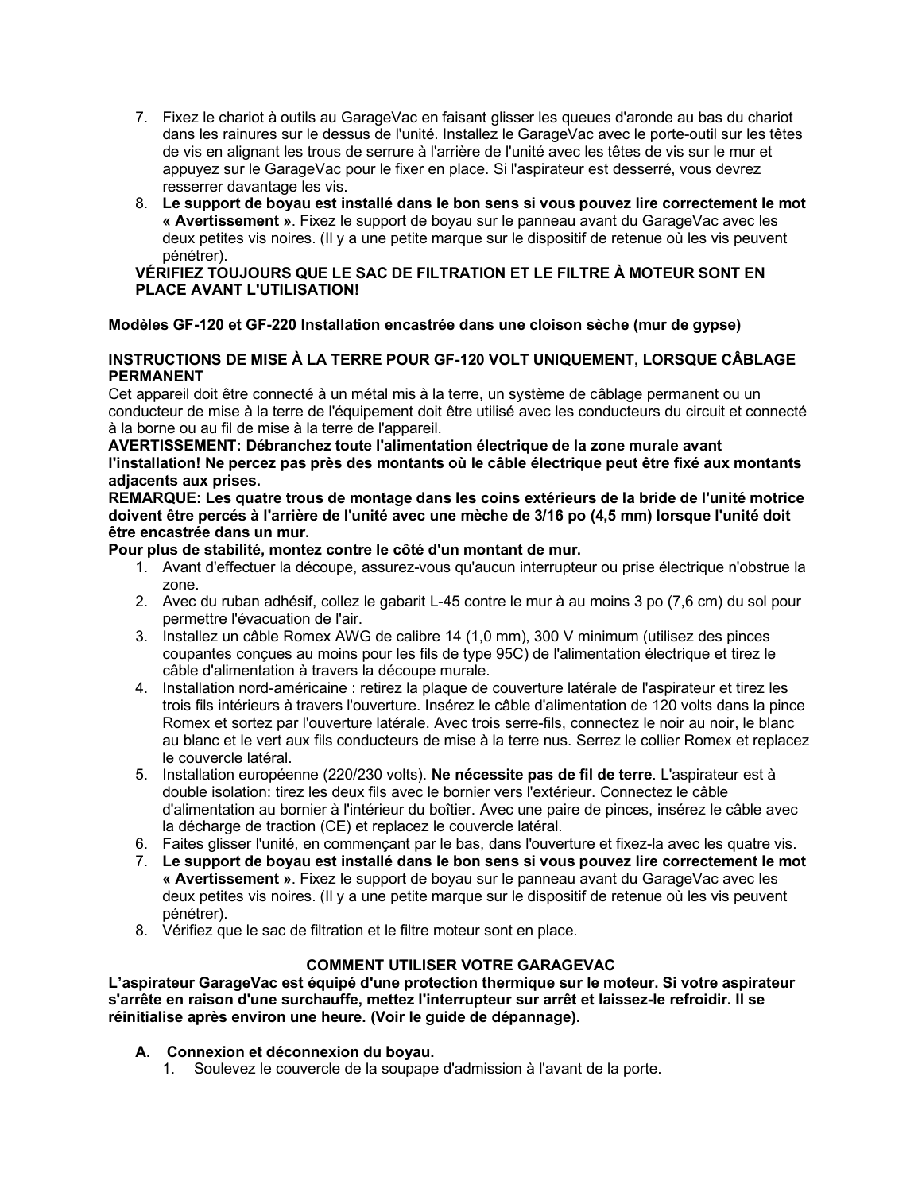- 7. Fixez le chariot à outils au GarageVac en faisant glisser les queues d'aronde au bas du chariot dans les rainures sur le dessus de l'unité. Installez le GarageVac avec le porte-outil sur les têtes de vis en alignant les trous de serrure à l'arrière de l'unité avec les têtes de vis sur le mur et appuyez sur le GarageVac pour le fixer en place. Si l'aspirateur est desserré, vous devrez resserrer davantage les vis.
- 8. **Le support de boyau est installé dans le bon sens si vous pouvez lire correctement le mot « Avertissement »**. Fixez le support de boyau sur le panneau avant du GarageVac avec les deux petites vis noires. (Il y a une petit[e marque](https://www.linguee.fr/francais-anglais/traduction/renfoncement.html) sur le dispositif de retenue où les vis peuvent pénétrer).

#### **VÉRIFIEZ TOUJOURS QUE LE SAC DE FILTRATION ET LE FILTRE À MOTEUR SONT EN PLACE AVANT L'UTILISATION!**

#### **Modèles GF-120 et GF-220 Installation encastrée dans une cloison sèche (mur de gypse)**

#### **INSTRUCTIONS DE MISE À LA TERRE POUR GF-120 VOLT UNIQUEMENT, LORSQUE CÂBLAGE PERMANENT**

Cet appareil doit être connecté à un métal mis à la terre, un système de câblage permanent ou un conducteur de mise à la terre de l'équipement doit être utilisé avec les conducteurs du circuit et connecté à la borne ou au fil de mise à la terre de l'appareil.

#### **AVERTISSEMENT: Débranchez toute l'alimentation électrique de la zone murale avant l'installation! Ne percez pas près des montants où le câble électrique peut être fixé aux montants adjacents aux prises.**

**REMARQUE: Les quatre trous de montage dans les coins extérieurs de la bride de l'unité motrice doivent être percés à l'arrière de l'unité avec une mèche de 3/16 po (4,5 mm) lorsque l'unité doit être encastrée dans un mur.**

**Pour plus de stabilité, montez contre le côté d'un montant de mur.**

- 1. Avant d'effectuer la découpe, assurez-vous qu'aucun interrupteur ou prise électrique n'obstrue la zone.
- 2. Avec du ruban adhésif, collez le gabarit L-45 contre le mur à au moins 3 po (7,6 cm) du sol pour permettre l'évacuation de l'air.
- 3. Installez un câble Romex AWG de calibre 14 (1,0 mm), 300 V minimum (utilisez des pinces coupantes conçues au moins pour les fils de type 95C) de l'alimentation électrique et tirez le câble d'alimentation à travers la découpe murale.
- 4. Installation nord-américaine : retirez la plaque de couverture latérale de l'aspirateur et tirez les trois fils intérieurs à travers l'ouverture. Insérez le câble d'alimentation de 120 volts dans la pince Romex et sortez par l'ouverture latérale. Avec trois serre-fils, connectez le noir au noir, le blanc au blanc et le vert aux fils conducteurs de mise à la terre nus. Serrez le collier Romex et replacez le couvercle latéral.
- 5. Installation européenne (220/230 volts). **Ne nécessite pas de fil de terre**. L'aspirateur est à double isolation: tirez les deux fils avec le bornier vers l'extérieur. Connectez le câble d'alimentation au bornier à l'intérieur du boîtier. Avec une paire de pinces, insérez le câble avec la décharge de traction (CE) et replacez le couvercle latéral.
- 6. Faites glisser l'unité, en commençant par le bas, dans l'ouverture et fixez-la avec les quatre vis.
- 7. **Le support de boyau est installé dans le bon sens si vous pouvez lire correctement le mot « Avertissement »**. Fixez le support de boyau sur le panneau avant du GarageVac avec les deux petites vis noires. (Il y a une petit[e marque](https://www.linguee.fr/francais-anglais/traduction/renfoncement.html) sur le dispositif de retenue où les vis peuvent pénétrer).
- 8. Vérifiez que le sac de filtration et le filtre moteur sont en place.

#### **COMMENT UTILISER VOTRE GARAGEVAC**

**L'aspirateur GarageVac est équipé d'une protection thermique sur le moteur. Si votre aspirateur s'arrête en raison d'une surchauffe, mettez l'interrupteur sur arrêt et laissez-le refroidir. Il se réinitialise après environ une heure. (Voir le guide de dépannage).**

- **A. Connexion et déconnexion du boyau.**
	- 1. Soulevez le couvercle de la soupape d'admission à l'avant de la porte.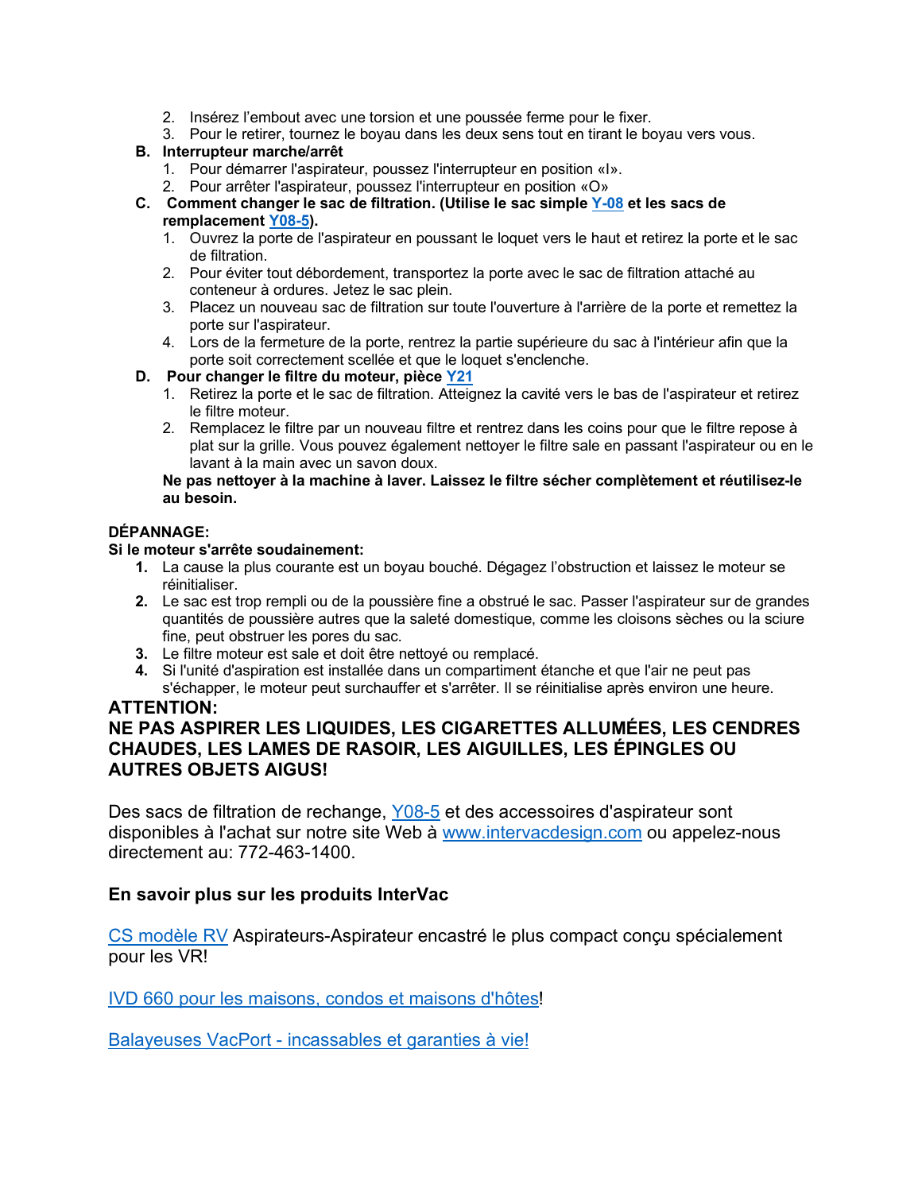- 2. Insérez l'embout avec une torsion et une poussée ferme pour le fixer.
- 3. Pour le retirer, tournez le boyau dans les deux sens tout en tirant le boyau vers vous.

### **B. Interrupteur marche/arrêt**

- 1. Pour démarrer l'aspirateur, poussez l'interrupteur en position «I».
- 2. Pour arrêter l'aspirateur, poussez l'interrupteur en position «O»
- **C. Comment changer le sac de filtration. (Utilise le sac simple [Y-08](https://www.intervacdesign.com/Bags-Accessories/Replacement-Dust-Bags/Y08-For-Models-HFLHGHGFRMHRMF-CONTAINS-5-BAGS/) et les sacs de remplacement [Y08-5\)](https://www.intervacdesign.com/Bags-Accessories/Replacement-Dust-Bags/Y08-For-Models-HFLHGHGFRMHRMF-CONTAINS-5-BAGS/).**
	- 1. Ouvrez la porte de l'aspirateur en poussant le loquet vers le haut et retirez la porte et le sac de filtration.
	- 2. Pour éviter tout débordement, transportez la porte avec le sac de filtration attaché au conteneur à ordures. Jetez le sac plein.
	- 3. Placez un nouveau sac de filtration sur toute l'ouverture à l'arrière de la porte et remettez la porte sur l'aspirateur.
	- 4. Lors de la fermeture de la porte, rentrez la partie supérieure du sac à l'intérieur afin que la porte soit correctement scellée et que le loquet s'enclenche.

#### **D. Pour changer le filtre du moteur, pièce [Y21](https://www.intervacdesign.com/Bags-Accessories/Replacement-Dust-Bags/Y08-For-Models-HFLHGHGFRMHRMF-CONTAINS-5-BAGS/)**

- 1. Retirez la porte et le sac de filtration. Atteignez la cavité vers le bas de l'aspirateur et retirez le filtre moteur.
- 2. Remplacez le filtre par un nouveau filtre et rentrez dans les coins pour que le filtre repose à plat sur la grille. Vous pouvez également nettoyer le filtre sale en passant l'aspirateur ou en le lavant à la main avec un savon doux.

#### **Ne pas nettoyer à la machine à laver. Laissez le filtre sécher complètement et réutilisez-le au besoin.**

#### **DÉPANNAGE:**

#### **Si le moteur s'arrête soudainement:**

- **1.** La cause la plus courante est un boyau bouché. Dégagez l'obstruction et laissez le moteur se réinitialiser.
- **2.** Le sac est trop rempli ou de la poussière fine a obstrué le sac. Passer l'aspirateur sur de grandes quantités de poussière autres que la saleté domestique, comme les cloisons sèches ou la sciure fine, peut obstruer les pores du sac.
- **3.** Le filtre moteur est sale et doit être nettoyé ou remplacé.
- **4.** Si l'unité d'aspiration est installée dans un compartiment étanche et que l'air ne peut pas s'échapper, le moteur peut surchauffer et s'arrêter. Il se réinitialise après environ une heure.

# **ATTENTION:**

# **NE PAS ASPIRER LES LIQUIDES, LES CIGARETTES ALLUMÉES, LES CENDRES CHAUDES, LES LAMES DE RASOIR, LES AIGUILLES, LES ÉPINGLES OU AUTRES OBJETS AIGUS!**

Des sacs de filtration de rechange, [Y08-5](https://www.intervacdesign.com/Bags-Accessories/Replacement-Dust-Bags/Y08-For-Models-HFLHGHGFRMHRMF-CONTAINS-5-BAGS/) et des accessoires d'aspirateur sont disponibles à l'achat sur notre site Web à [www.intervacdesign.com](http://www.intervacdesign.com/) ou appelez-nous directement au: 772-463-1400.

# **En savoir plus sur les produits InterVac**

[CS modèle RV](https://www.intervacdesign.com/Vacuums/RV/) Aspirateurs-Aspirateur encastré le plus compact conçu spécialement pour les VR!

[IVD 660 pour les maisons, condos et maisons d'hôtes!](https://www.intervacdesign.com/Vacuums/For-the-Home/)

Balayeuses VacPort - [incassables et garanties à vie!](https://www.intervacdesign.com/Bags-Accessories/Vacport-Sweeper-Pan/)